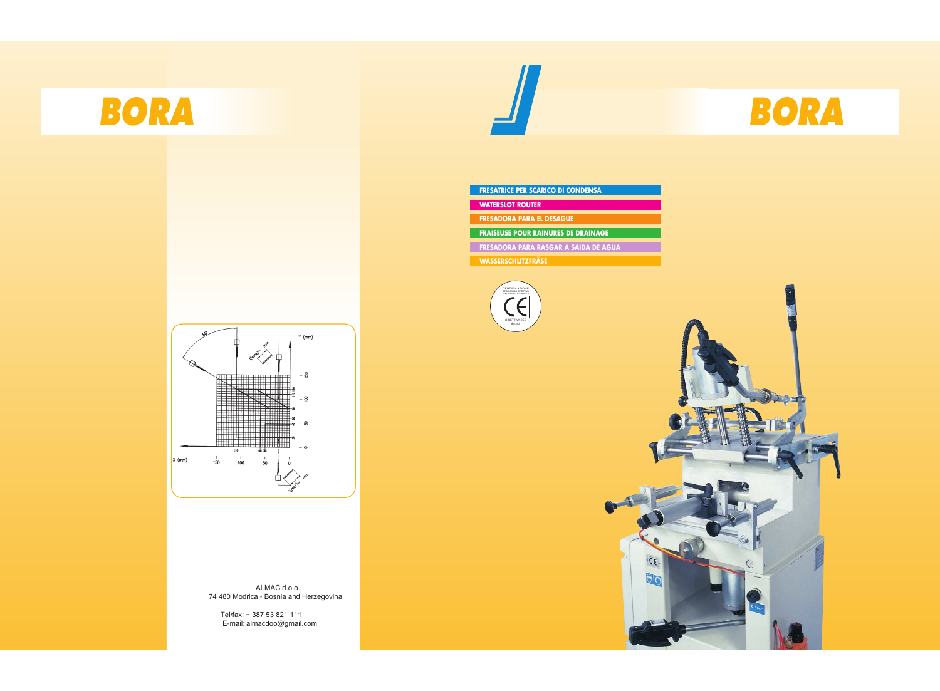

 ALMAC d.o.o. 74 480 Modrica - Bosnia and Herzegovina

Tel/fax: + 387 53 821 111 E-mail: almacdoo@gmail.com



**FRESATRICE PER SCARICO DI CONDENSA**

**FRAISEUSE POUR RAINURES DE DRAINAGE**

**WATERSLOT ROUTER**

**WASSERSCHLITZFRÄSE**

**FRESADORA PARA RASGAR A SAIDA DE AGUA**

**FRESADORA PARA EL DESAGUE**







 $\zeta$ 

<u>ଅଟ</u>